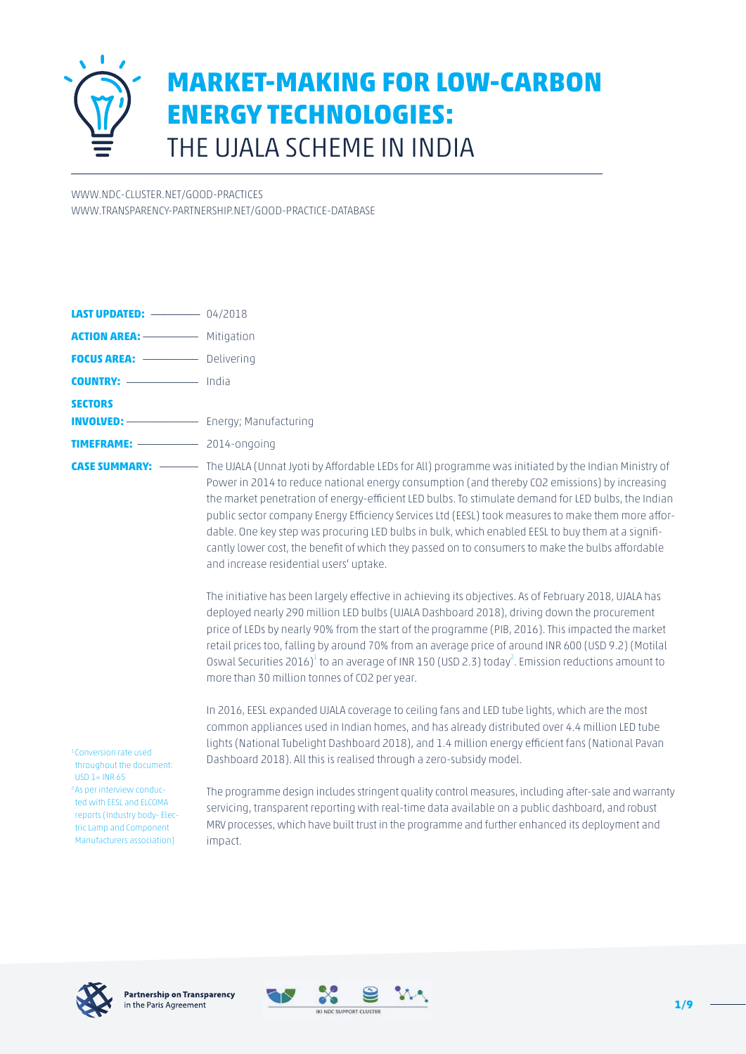

[WWW.NDC-CLUSTER.NET/GOOD-PRACTICES](http://www.ndc-cluster.net/good-practices) [WWW.TRANSPARENCY-PARTNERSHIP.NET/GOOD-PRACTICE-DATABASE](http://www.transparency-partnership.net/good-practice-database)

| <b>ACTION AREA:</b> <u>_____________</u> Mitigation                                       |                                                                                                                                                                                                                                                                                                                                                                                                                                                                                                                                                                |
|-------------------------------------------------------------------------------------------|----------------------------------------------------------------------------------------------------------------------------------------------------------------------------------------------------------------------------------------------------------------------------------------------------------------------------------------------------------------------------------------------------------------------------------------------------------------------------------------------------------------------------------------------------------------|
|                                                                                           |                                                                                                                                                                                                                                                                                                                                                                                                                                                                                                                                                                |
|                                                                                           |                                                                                                                                                                                                                                                                                                                                                                                                                                                                                                                                                                |
| <b>SECTORS</b><br><b>INVOLVED:</b> <del>_____________________</del> Energy; Manufacturing |                                                                                                                                                                                                                                                                                                                                                                                                                                                                                                                                                                |
| <b>TIMEFRAME:</b> $\frac{2014\text{-ongoing}}{2014\text{-ongoing}}$                       |                                                                                                                                                                                                                                                                                                                                                                                                                                                                                                                                                                |
|                                                                                           | Power in 2014 to reduce national energy consumption (and thereby CO2 emissions) by increasing<br>the market penetration of energy-efficient LED bulbs. To stimulate demand for LED bulbs, the Indian<br>public sector company Energy Efficiency Services Ltd (EESL) took measures to make them more affor-<br>dable. One key step was procuring LED bulbs in bulk, which enabled EESL to buy them at a signifi-<br>cantly lower cost, the benefit of which they passed on to consumers to make the bulbs affordable<br>and increase residential users' uptake. |

The initiative has been largely effective in achieving its objectives. As of February 2018, UJALA has deployed nearly 290 million LED bulbs (UJALA Dashboard 2018), driving down the procurement price of LEDs by nearly 90% from the start of the programme (PIB, 2016). This impacted the market retail prices too, falling by around 70% from an average price of around INR 600 (USD 9.2) (Motilal Oswal Securities 2016) $^1$  to an average of INR 150 (USD 2.3) today $^2$ . Emission reductions amount to more than 30 million tonnes of CO2 per year.

In 2016, EESL expanded UJALA coverage to ceiling fans and LED tube lights, which are the most common appliances used in Indian homes, and has already distributed over 4.4 million LED tube lights (National Tubelight Dashboard 2018), and 1.4 million energy efficient fans (National Pavan Dashboard 2018). All this is realised through a zero-subsidy model.

1 Conversion rate used throughout the document:  $USD 1 = INR 65$ 2 As per interview conducted with EESL and ELCOMA reports (Industry body- Electric Lamp and Component Manufacturers association)

The programme design includes stringent quality control measures, including after-sale and warranty servicing, transparent reporting with real-time data available on a public dashboard, and robust MRV processes, which have built trust in the programme and further enhanced its deployment and impact.



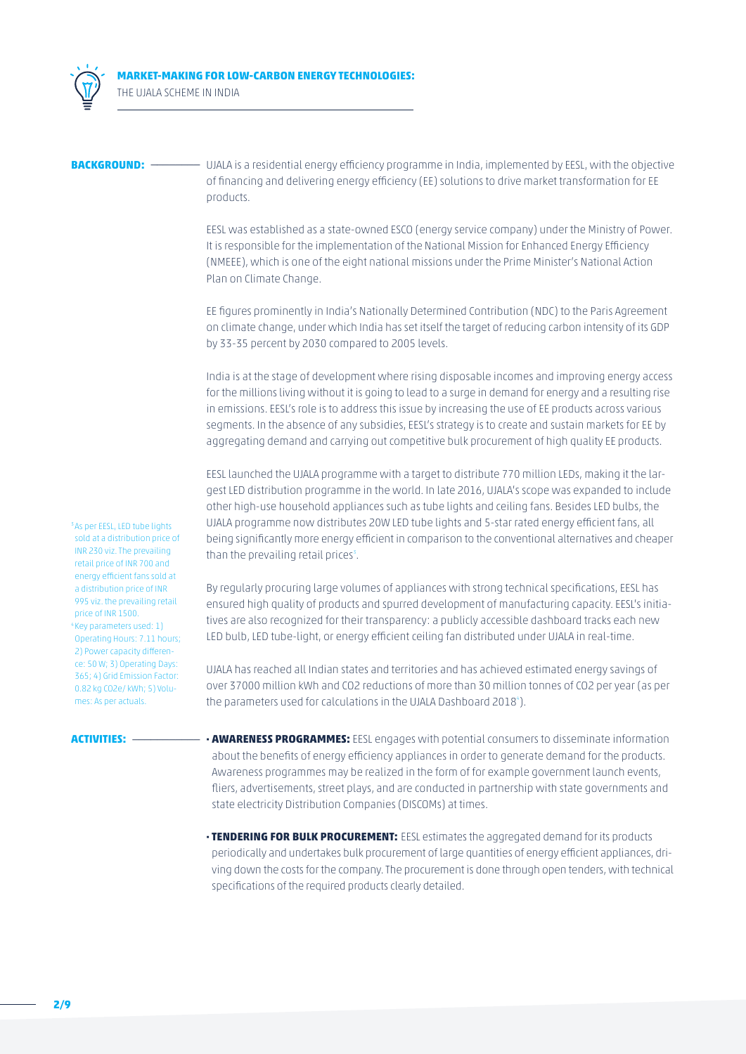

**MARKET-MAKING FOR LOW-CARBON ENERGY TECHNOLOGIES:** THE UJALA SCHEME IN INDIA

**BACKGROUND:** \_\_\_\_\_\_\_\_\_\_\_\_\_\_\_\_\_UJALA is a residential energy efficiency programme in India, implemented by EESL, with the objective of financing and delivering energy efficiency (EE) solutions to drive market transformation for EE products.

> EESL was established as a state-owned ESCO (energy service company) under the Ministry of Power. It is responsible for the implementation of the National Mission for Enhanced Energy Efficiency (NMEEE), which is one of the eight national missions under the Prime Minister's National Action Plan on Climate Change.

> EE figures prominently in India's Nationally Determined Contribution (NDC) to the Paris Agreement on climate change, under which India has set itself the target of reducing carbon intensity of its GDP by 33-35 percent by 2030 compared to 2005 levels.

> India is at the stage of development where rising disposable incomes and improving energy access for the millions living without it is going to lead to a surge in demand for energy and a resulting rise in emissions. EESL's role is to address this issue by increasing the use of EE products across various segments. In the absence of any subsidies, EESL's strategy is to create and sustain markets for EE by aggregating demand and carrying out competitive bulk procurement of high quality EE products.

> EESL launched the UJALA programme with a target to distribute 770 million LEDs, making it the largest LED distribution programme in the world. In late 2016, UJALA's scope was expanded to include other high-use household appliances such as tube lights and ceiling fans. Besides LED bulbs, the UJALA programme now distributes 20W LED tube lights and 5-star rated energy efficient fans, all being significantly more energy efficient in comparison to the conventional alternatives and cheaper than the prevailing retail prices $3$ .

> By regularly procuring large volumes of appliances with strong technical specifications, EESL has ensured high quality of products and spurred development of manufacturing capacity. EESL's initiatives are also recognized for their transparency: a publicly accessible dashboard tracks each new LED bulb, LED tube-light, or energy efficient ceiling fan distributed under UJALA in real-time.

> UJALA has reached all Indian states and territories and has achieved estimated energy savings of over 37000 million kWh and CO2 reductions of more than 30 million tonnes of CO2 per year (as per the parameters used for calculations in the UJALA Dashboard 2018<sup>4</sup>).

<sup>3</sup> As per EESL, LED tube lights sold at a distribution price of INR 230 viz. The prevailing retail price of INR 700 and energy efficient fans sold at a distribution price of INR 995 viz. the prevailing retail price of INR 1500. 4 Key parameters used: 1) Operating Hours: 7.11 hours; 2) Power capacity difference: 50 W; 3) Operating Days: 365; 4) Grid Emission Factor: 0.82 kg CO2e/ kWh; 5) Volumes: As per actuals.

- **ACTIVITIES:** \_\_\_\_\_\_\_\_\_\_\_ **· AWARENESS PROGRAMMES:** EESL engages with potential consumers to disseminate information about the benefits of energy efficiency appliances in order to generate demand for the products. Awareness programmes may be realized in the form of for example government launch events, fliers, advertisements, street plays, and are conducted in partnership with state governments and state electricity Distribution Companies (DISCOMs) at times.
	- **· TENDERING FOR BULK PROCUREMENT:** EESL estimates the aggregated demand for its products periodically and undertakes bulk procurement of large quantities of energy efficient appliances, driving down the costs for the company. The procurement is done through open tenders, with technical specifications of the required products clearly detailed.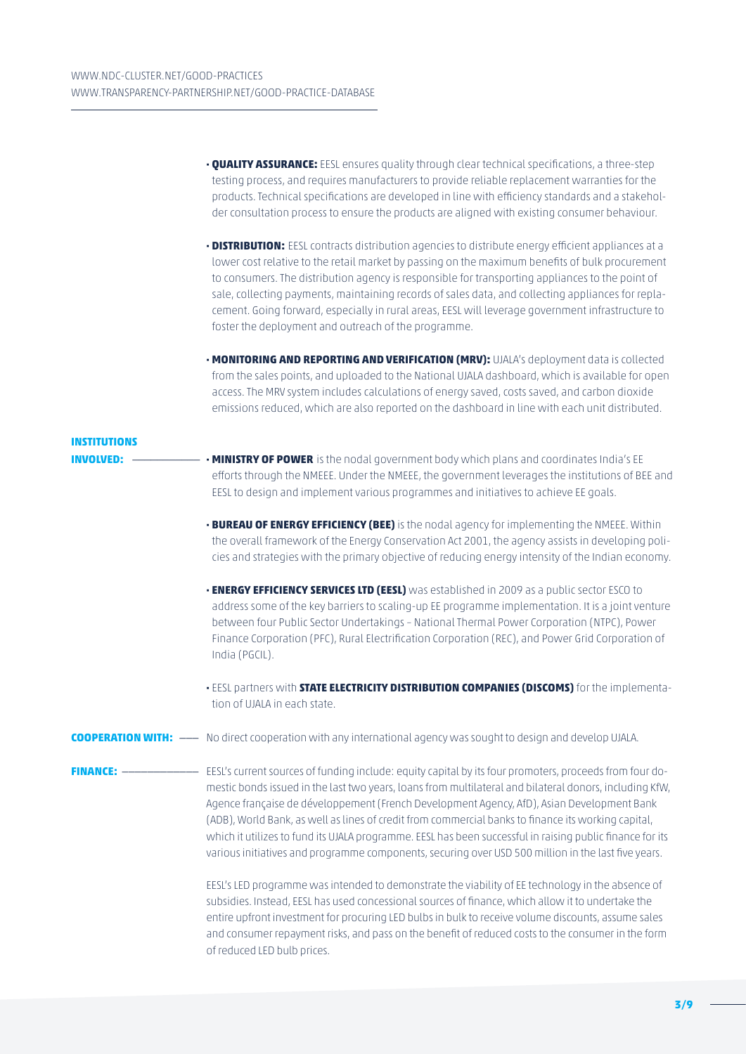|                                | • <b>QUALITY ASSURANCE:</b> EESL ensures quality through clear technical specifications, a three-step<br>testing process, and requires manufacturers to provide reliable replacement warranties for the<br>products. Technical specifications are developed in line with efficiency standards and a stakehol-<br>der consultation process to ensure the products are aligned with existing consumer behaviour.                                                                                                                                                                                                                              |
|--------------------------------|---------------------------------------------------------------------------------------------------------------------------------------------------------------------------------------------------------------------------------------------------------------------------------------------------------------------------------------------------------------------------------------------------------------------------------------------------------------------------------------------------------------------------------------------------------------------------------------------------------------------------------------------|
|                                | . DISTRIBUTION: EESL contracts distribution agencies to distribute energy efficient appliances at a<br>lower cost relative to the retail market by passing on the maximum benefits of bulk procurement<br>to consumers. The distribution agency is responsible for transporting appliances to the point of<br>sale, collecting payments, maintaining records of sales data, and collecting appliances for repla-<br>cement. Going forward, especially in rural areas, EESL will leverage government infrastructure to<br>foster the deployment and outreach of the programme.                                                               |
|                                | . MONITORING AND REPORTING AND VERIFICATION (MRV): UJALA's deployment data is collected<br>from the sales points, and uploaded to the National UJALA dashboard, which is available for open<br>access. The MRV system includes calculations of energy saved, costs saved, and carbon dioxide<br>emissions reduced, which are also reported on the dashboard in line with each unit distributed.                                                                                                                                                                                                                                             |
| <b>INSTITUTIONS</b>            |                                                                                                                                                                                                                                                                                                                                                                                                                                                                                                                                                                                                                                             |
| <b>INVOLVED:</b>               | . MINISTRY OF POWER is the nodal government body which plans and coordinates India's EE<br>efforts through the NMEEE. Under the NMEEE, the government leverages the institutions of BEE and<br>EESL to design and implement various programmes and initiatives to achieve EE goals.                                                                                                                                                                                                                                                                                                                                                         |
|                                | . BUREAU OF ENERGY EFFICIENCY (BEE) is the nodal agency for implementing the NMEEE. Within<br>the overall framework of the Energy Conservation Act 2001, the agency assists in developing poli-<br>cies and strategies with the primary objective of reducing energy intensity of the Indian economy.                                                                                                                                                                                                                                                                                                                                       |
|                                | • ENERGY EFFICIENCY SERVICES LTD (EESL) was established in 2009 as a public sector ESCO to<br>address some of the key barriers to scaling-up EE programme implementation. It is a joint venture<br>between four Public Sector Undertakings - National Thermal Power Corporation (NTPC), Power<br>Finance Corporation (PFC), Rural Electrification Corporation (REC), and Power Grid Corporation of<br>India (PGCIL).                                                                                                                                                                                                                        |
|                                | · EESL partners with STATE ELECTRICITY DISTRIBUTION COMPANIES (DISCOMS) for the implementa-<br>tion of UJALA in each state.                                                                                                                                                                                                                                                                                                                                                                                                                                                                                                                 |
|                                | <b>COOPERATION WITH:</b> -- No direct cooperation with any international agency was sought to design and develop UJALA.                                                                                                                                                                                                                                                                                                                                                                                                                                                                                                                     |
| <b>FINANCE: --------------</b> | EESL's current sources of funding include: equity capital by its four promoters, proceeds from four do-<br>mestic bonds issued in the last two years, loans from multilateral and bilateral donors, including KfW,<br>Agence française de développement (French Development Agency, AfD), Asian Development Bank<br>(ADB), World Bank, as well as lines of credit from commercial banks to finance its working capital,<br>which it utilizes to fund its UJALA programme. EESL has been successful in raising public finance for its<br>various initiatives and programme components, securing over USD 500 million in the last five years. |
|                                | EESL's LED programme was intended to demonstrate the viability of EE technology in the absence of<br>subsidies. Instead, EESL has used concessional sources of finance, which allow it to undertake the<br>entire upfront investment for procuring LED bulbs in bulk to receive volume discounts, assume sales<br>and consumer repayment risks, and pass on the benefit of reduced costs to the consumer in the form<br>of reduced LED bulb prices.                                                                                                                                                                                         |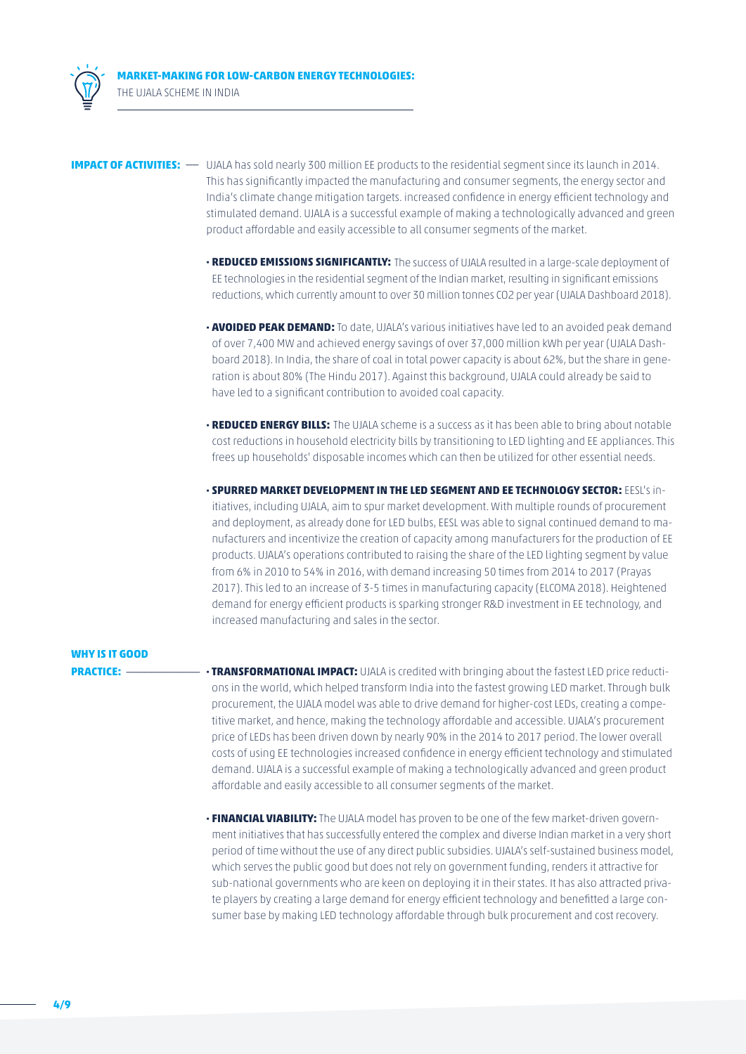**MARKET-MAKING FOR LOW-CARBON ENERGY TECHNOLOGIES:** THE UJALA SCHEME IN INDIA

**IMPACT OF ACTIVITIES:** -- UJALA has sold nearly 300 million EE products to the residential segment since its launch in 2014. This has significantly impacted the manufacturing and consumer segments, the energy sector and India's climate change mitigation targets. increased confidence in energy efficient technology and stimulated demand. UJALA is a successful example of making a technologically advanced and green product affordable and easily accessible to all consumer segments of the market.

- **· REDUCED EMISSIONS SIGNIFICANTLY:** The success of UJALA resulted in a large-scale deployment of EE technologies in the residential segment of the Indian market, resulting in significant emissions reductions, which currently amount to over 30 million tonnes CO2 per year (UJALA Dashboard 2018).
- **· AVOIDED PEAK DEMAND:** To date, UJALA's various initiatives have led to an avoided peak demand of over 7,400 MW and achieved energy savings of over 37,000 million kWh per year (UJALA Dashboard 2018). In India, the share of coal in total power capacity is about 62%, but the share in generation is about 80% (The Hindu 2017). Against this background, UJALA could already be said to have led to a significant contribution to avoided coal capacity.
- **· REDUCED ENERGY BILLS:** The UJALA scheme is a success as it has been able to bring about notable cost reductions in household electricity bills by transitioning to LED lighting and EE appliances. This frees up households' disposable incomes which can then be utilized for other essential needs.
- **· SPURRED MARKET DEVELOPMENT IN THE LED SEGMENT AND EE TECHNOLOGY SECTOR:** EESL's initiatives, including UJALA, aim to spur market development. With multiple rounds of procurement and deployment, as already done for LED bulbs, EESL was able to signal continued demand to manufacturers and incentivize the creation of capacity among manufacturers for the production of EE products. UJALA's operations contributed to raising the share of the LED lighting segment by value from 6% in 2010 to 54% in 2016, with demand increasing 50 times from 2014 to 2017 (Prayas 2017). This led to an increase of 3-5 times in manufacturing capacity (ELCOMA 2018). Heightened demand for energy efficient products is sparking stronger R&D investment in EE technology, and increased manufacturing and sales in the sector.

### **WHY IS IT GOOD**

**PRACTICE:** \_\_\_\_\_\_\_\_\_\_\_\_ **· TRANSFORMATIONAL IMPACT:** UJALA is credited with bringing about the fastest LED price reductions in the world, which helped transform India into the fastest growing LED market. Through bulk procurement, the UJALA model was able to drive demand for higher-cost LEDs, creating a competitive market, and hence, making the technology affordable and accessible. UJALA's procurement price of LEDs has been driven down by nearly 90% in the 2014 to 2017 period. The lower overall costs of using EE technologies increased confidence in energy efficient technology and stimulated demand. UJALA is a successful example of making a technologically advanced and green product affordable and easily accessible to all consumer segments of the market.

> **· FINANCIAL VIABILITY:** The UJALA model has proven to be one of the few market-driven government initiatives that has successfully entered the complex and diverse Indian market in a very short period of time without the use of any direct public subsidies. UJALA's self-sustained business model, which serves the public good but does not rely on government funding, renders it attractive for sub-national governments who are keen on deploying it in their states. It has also attracted private players by creating a large demand for energy efficient technology and benefitted a large consumer base by making LED technology affordable through bulk procurement and cost recovery.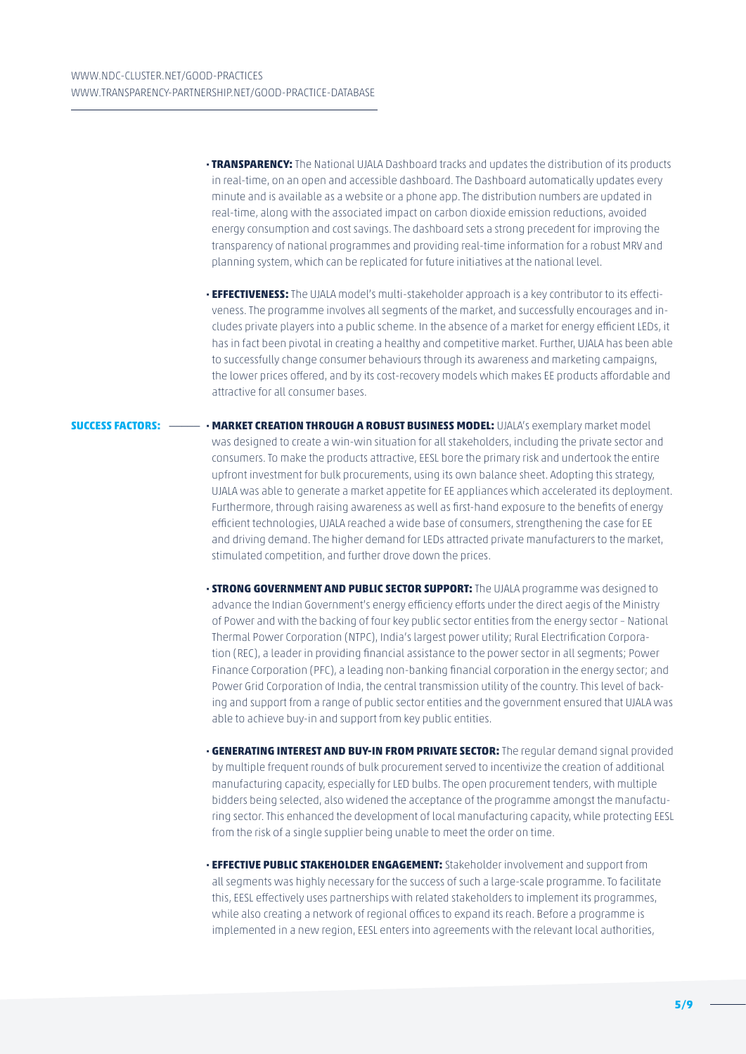- **· TRANSPARENCY:** The National UJALA Dashboard tracks and updates the distribution of its products in real-time, on an open and accessible dashboard. The Dashboard automatically updates every minute and is available as a website or a phone app. The distribution numbers are updated in real-time, along with the associated impact on carbon dioxide emission reductions, avoided energy consumption and cost savings. The dashboard sets a strong precedent for improving the transparency of national programmes and providing real-time information for a robust MRV and planning system, which can be replicated for future initiatives at the national level.
- **· EFFECTIVENESS:** The UJALA model's multi-stakeholder approach is a key contributor to its effectiveness. The programme involves all segments of the market, and successfully encourages and includes private players into a public scheme. In the absence of a market for energy efficient LEDs, it has in fact been pivotal in creating a healthy and competitive market. Further, UJALA has been able to successfully change consumer behaviours through its awareness and marketing campaigns, the lower prices offered, and by its cost-recovery models which makes EE products affordable and attractive for all consumer bases.
- **SUCCESS FACTORS:** \_\_\_\_\_ **· MARKET CREATION THROUGH A ROBUST BUSINESS MODEL:** UJALA's exemplary market model was designed to create a win-win situation for all stakeholders, including the private sector and consumers. To make the products attractive, EESL bore the primary risk and undertook the entire upfront investment for bulk procurements, using its own balance sheet. Adopting this strategy, UJALA was able to generate a market appetite for EE appliances which accelerated its deployment. Furthermore, through raising awareness as well as first-hand exposure to the benefits of energy efficient technologies, UJALA reached a wide base of consumers, strengthening the case for EE and driving demand. The higher demand for LEDs attracted private manufacturers to the market, stimulated competition, and further drove down the prices.
	- **· STRONG GOVERNMENT AND PUBLIC SECTOR SUPPORT:** The UJALA programme was designed to advance the Indian Government's energy efficiency efforts under the direct aegis of the Ministry of Power and with the backing of four key public sector entities from the energy sector – National Thermal Power Corporation (NTPC), India's largest power utility; Rural Electrification Corporation (REC), a leader in providing financial assistance to the power sector in all segments; Power Finance Corporation (PFC), a leading non-banking financial corporation in the energy sector; and Power Grid Corporation of India, the central transmission utility of the country. This level of backing and support from a range of public sector entities and the government ensured that UJALA was able to achieve buy-in and support from key public entities.
	- **· GENERATING INTEREST AND BUY-IN FROM PRIVATE SECTOR:** The regular demand signal provided by multiple frequent rounds of bulk procurement served to incentivize the creation of additional manufacturing capacity, especially for LED bulbs. The open procurement tenders, with multiple bidders being selected, also widened the acceptance of the programme amongst the manufacturing sector. This enhanced the development of local manufacturing capacity, while protecting EESL from the risk of a single supplier being unable to meet the order on time.
	- **· EFFECTIVE PUBLIC STAKEHOLDER ENGAGEMENT:** Stakeholder involvement and support from all segments was highly necessary for the success of such a large-scale programme. To facilitate this, EESL effectively uses partnerships with related stakeholders to implement its programmes, while also creating a network of regional offices to expand its reach. Before a programme is implemented in a new region, EESL enters into agreements with the relevant local authorities,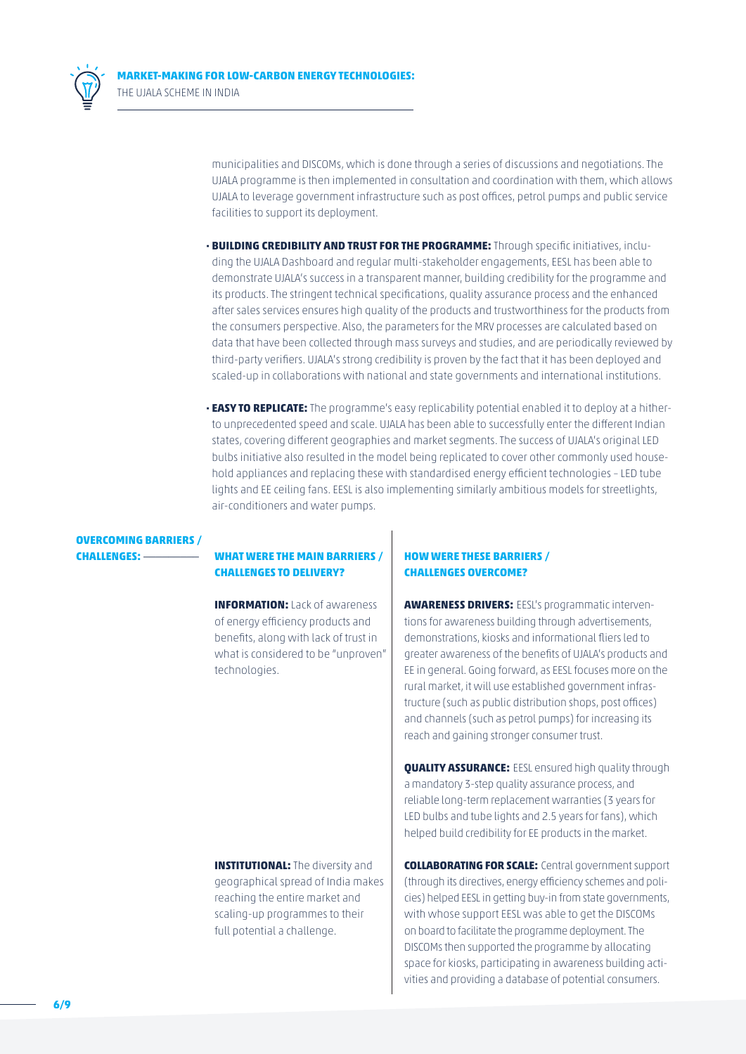

**MARKET-MAKING FOR LOW-CARBON ENERGY TECHNOLOGIES:** THE UJALA SCHEME IN INDIA

> municipalities and DISCOMs, which is done through a series of discussions and negotiations. The UJALA programme is then implemented in consultation and coordination with them, which allows UJALA to leverage government infrastructure such as post offices, petrol pumps and public service facilities to support its deployment.

- **· BUILDING CREDIBILITY AND TRUST FOR THE PROGRAMME:** Through specific initiatives, including the UJALA Dashboard and regular multi-stakeholder engagements, EESL has been able to demonstrate UJALA's success in a transparent manner, building credibility for the programme and its products. The stringent technical specifications, quality assurance process and the enhanced after sales services ensures high quality of the products and trustworthiness for the products from the consumers perspective. Also, the parameters for the MRV processes are calculated based on data that have been collected through mass surveys and studies, and are periodically reviewed by third-party verifiers. UJALA's strong credibility is proven by the fact that it has been deployed and scaled-up in collaborations with national and state governments and international institutions.
- **· EASY TO REPLICATE:** The programme's easy replicability potential enabled it to deploy at a hitherto unprecedented speed and scale. UJALA has been able to successfully enter the different Indian states, covering different geographies and market segments. The success of UJALA's original LED bulbs initiative also resulted in the model being replicated to cover other commonly used household appliances and replacing these with standardised energy efficient technologies – LED tube lights and EE ceiling fans. EESL is also implementing similarly ambitious models for streetlights, air-conditioners and water pumps.

## **OVERCOMING BARRIERS /**

### **CHALLENGES:** \_\_\_\_\_\_\_\_\_ **WHAT WERE THE MAIN BARRIERS / CHALLENGES TO DELIVERY?**

**INFORMATION:** Lack of awareness of energy efficiency products and benefits, along with lack of trust in what is considered to be "unproven" technologies.

**INSTITUTIONAL:** The diversity and geographical spread of India makes reaching the entire market and scaling-up programmes to their full potential a challenge.

### **HOW WERE THESE BARRIERS / CHALLENGES OVERCOME?**

**AWARENESS DRIVERS:** EESL's programmatic interventions for awareness building through advertisements, demonstrations, kiosks and informational fliers led to greater awareness of the benefits of UJALA's products and EE in general. Going forward, as EESL focuses more on the rural market, it will use established government infrastructure (such as public distribution shops, post offices) and channels (such as petrol pumps) for increasing its reach and gaining stronger consumer trust.

**QUALITY ASSURANCE:** EESL ensured high quality through a mandatory 3-step quality assurance process, and reliable long-term replacement warranties (3 years for LED bulbs and tube lights and 2.5 years for fans), which helped build credibility for EE products in the market.

**COLLABORATING FOR SCALE:** Central government support (through its directives, energy efficiency schemes and policies) helped EESL in getting buy-in from state governments, with whose support EESL was able to get the DISCOMs on board to facilitate the programme deployment. The DISCOMs then supported the programme by allocating space for kiosks, participating in awareness building activities and providing a database of potential consumers.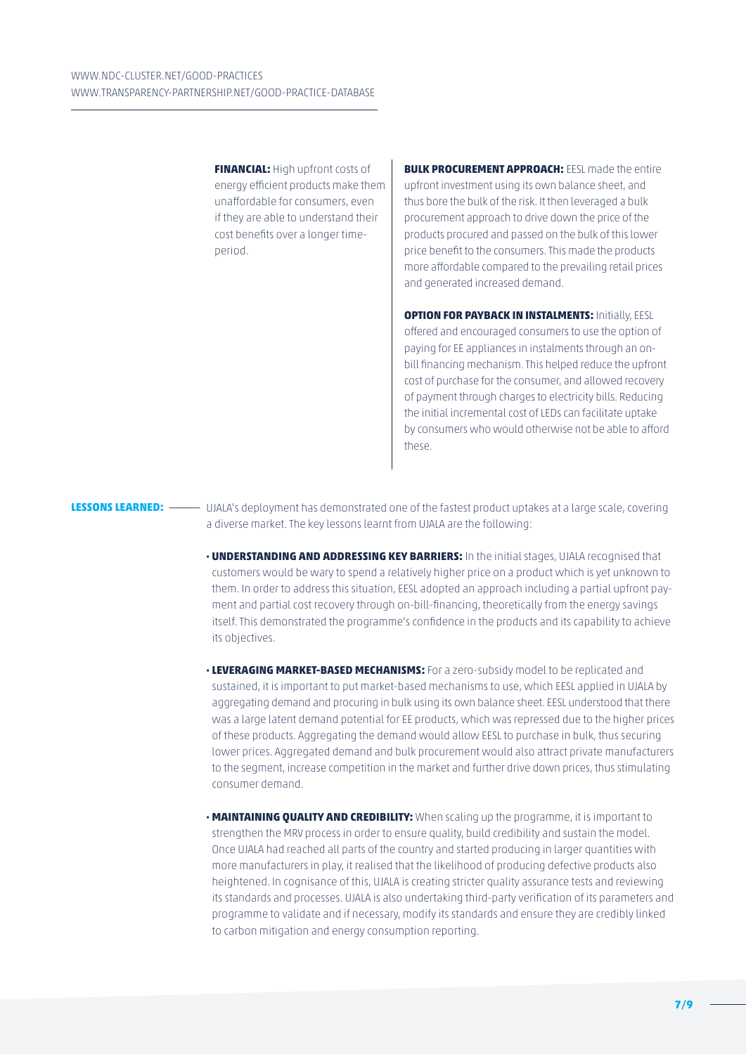**FINANCIAL:** High upfront costs of energy efficient products make them unaffordable for consumers, even if they are able to understand their cost benefits over a longer timeperiod.

**BULK PROCUREMENT APPROACH: FESL made the entire** upfront investment using its own balance sheet, and thus bore the bulk of the risk. It then leveraged a bulk procurement approach to drive down the price of the products procured and passed on the bulk of this lower price benefit to the consumers. This made the products more affordable compared to the prevailing retail prices and generated increased demand.

**OPTION FOR PAYBACK IN INSTALMENTS: Initially, EESL** offered and encouraged consumers to use the option of paying for EE appliances in instalments through an onbill financing mechanism. This helped reduce the upfront cost of purchase for the consumer, and allowed recovery of payment through charges to electricity bills. Reducing the initial incremental cost of LEDs can facilitate uptake by consumers who would otherwise not be able to afford these.

**LESSONS LEARNED:** \_\_\_\_\_ UJALA's deployment has demonstrated one of the fastest product uptakes at a large scale, covering a diverse market. The key lessons learnt from UJALA are the following:

- **· UNDERSTANDING AND ADDRESSING KEY BARRIERS:** In the initial stages, UJALA recognised that customers would be wary to spend a relatively higher price on a product which is yet unknown to them. In order to address this situation, EESL adopted an approach including a partial upfront payment and partial cost recovery through on-bill-financing, theoretically from the energy savings itself. This demonstrated the programme's confidence in the products and its capability to achieve its objectives.
- **· LEVERAGING MARKET-BASED MECHANISMS:** For a zero-subsidy model to be replicated and sustained, it is important to put market-based mechanisms to use, which EESL applied in UJALA by aggregating demand and procuring in bulk using its own balance sheet. EESL understood that there was a large latent demand potential for EE products, which was repressed due to the higher prices of these products. Aggregating the demand would allow EESL to purchase in bulk, thus securing lower prices. Aggregated demand and bulk procurement would also attract private manufacturers to the segment, increase competition in the market and further drive down prices, thus stimulating consumer demand.
- **· MAINTAINING QUALITY AND CREDIBILITY:** When scaling up the programme, it is important to strengthen the MRV process in order to ensure quality, build credibility and sustain the model. Once UJALA had reached all parts of the country and started producing in larger quantities with more manufacturers in play, it realised that the likelihood of producing defective products also heightened. In cognisance of this, UJALA is creating stricter quality assurance tests and reviewing its standards and processes. UJALA is also undertaking third-party verification of its parameters and programme to validate and if necessary, modify its standards and ensure they are credibly linked to carbon mitigation and energy consumption reporting.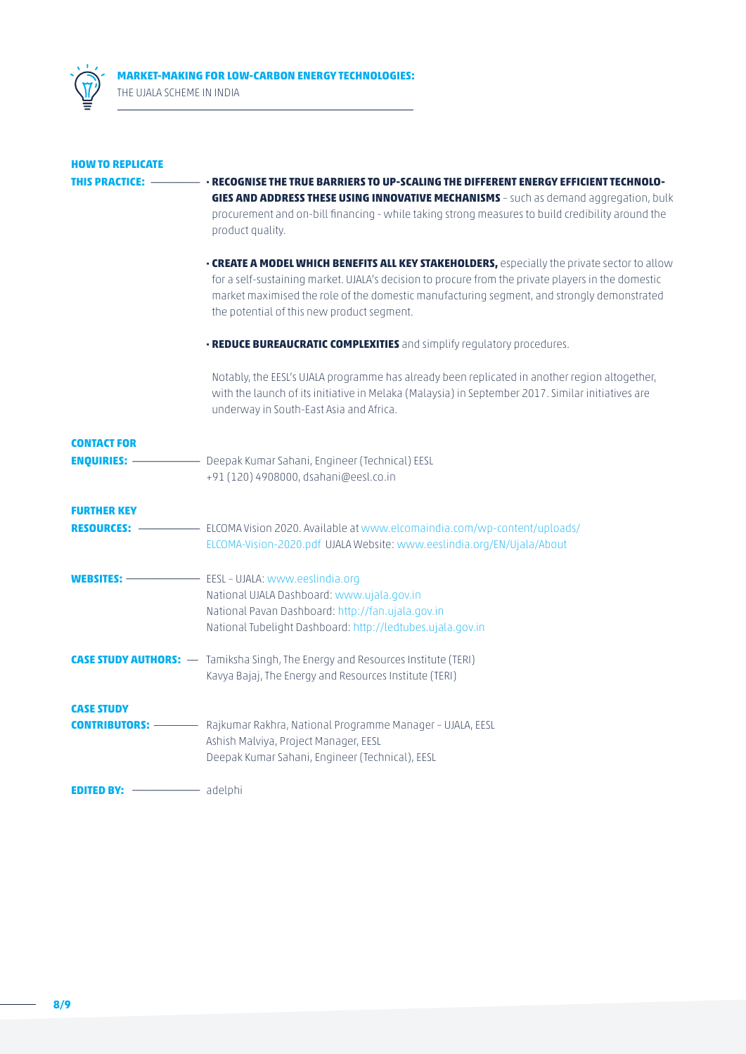

| <b>HOW TO REPLICATE</b>                      |                                                                                                                                                                                                                                                                                                                                                |
|----------------------------------------------|------------------------------------------------------------------------------------------------------------------------------------------------------------------------------------------------------------------------------------------------------------------------------------------------------------------------------------------------|
| THIS PRACTICE:                               | - RECOGNISE THE TRUE BARRIERS TO UP-SCALING THE DIFFERENT ENERGY EFFICIENT TECHNOLO-<br>GIES AND ADDRESS THESE USING INNOVATIVE MECHANISMS - such as demand aggregation, bulk<br>procurement and on-bill financing - while taking strong measures to build credibility around the                                                              |
|                                              | product quality.                                                                                                                                                                                                                                                                                                                               |
|                                              | • CREATE A MODEL WHICH BENEFITS ALL KEY STAKEHOLDERS, especially the private sector to allow<br>for a self-sustaining market. UJALA's decision to procure from the private players in the domestic<br>market maximised the role of the domestic manufacturing segment, and strongly demonstrated<br>the potential of this new product segment. |
|                                              | <b>· REDUCE BUREAUCRATIC COMPLEXITIES</b> and simplify regulatory procedures.                                                                                                                                                                                                                                                                  |
|                                              | Notably, the EESL's UJALA programme has already been replicated in another region altogether,<br>with the launch of its initiative in Melaka (Malaysia) in September 2017. Similar initiatives are<br>underway in South-East Asia and Africa.                                                                                                  |
| <b>CONTACT FOR</b><br><b>ENQUIRIES: -</b>    | - Deepak Kumar Sahani, Engineer (Technical) EESL<br>+91 (120) 4908000, dsahani@eesl.co.in                                                                                                                                                                                                                                                      |
| <b>FURTHER KEY</b><br><b>RESOURCES: -</b>    | - ELCOMA Vision 2020. Available at www.elcomaindia.com/wp-content/uploads/<br>ELCOMA-Vision-2020.pdf UJALA Website: www.eeslindia.org/EN/Ujala/About                                                                                                                                                                                           |
| WEBSITES: -                                  | - EESL - UJALA: www.eeslindia.org<br>National UJALA Dashboard: www.ujala.gov.in<br>National Pavan Dashboard: http://fan.ujala.gov.in<br>National Tubelight Dashboard: http://ledtubes.ujala.gov.in                                                                                                                                             |
|                                              | <b>CASE STUDY AUTHORS:</b> — Tamiksha Singh, The Energy and Resources Institute (TERI)<br>Kavya Bajaj, The Energy and Resources Institute (TERI)                                                                                                                                                                                               |
| <b>CASE STUDY</b><br><b>CONTRIBUTORS:</b> -- | - Rajkumar Rakhra, National Programme Manager - UJALA, EESL<br>Ashish Malviya, Project Manager, EESL<br>Deepak Kumar Sahani, Engineer (Technical), EESL                                                                                                                                                                                        |
| adelphi adelphi<br><b>EDITED BY: -</b>       |                                                                                                                                                                                                                                                                                                                                                |